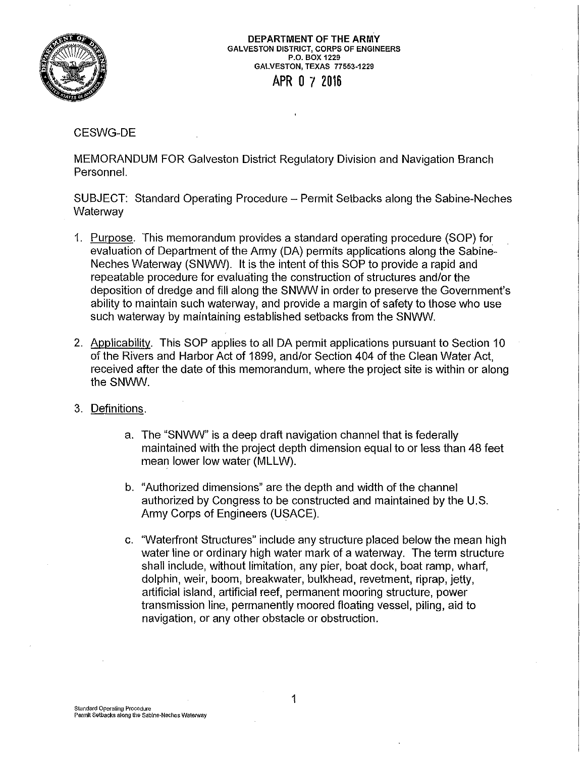

DEPARTMENT OF THE ARMY GALVESTON DISTRICT, CORPS OF ENGINEERS P .0. BOX 1229 GALVESTON, TEXAS 77553-1229 APR O 7 2016

## CESWG-DE

MEMORANDUM FOR Galveston District Regulatory Division and Navigation Branch Personnel.

SUBJECT: Standard Operating Procedure - Permit Setbacks along the Sabine-Neches **Waterway** 

- 1. Purpose. This memorandum provides a standard operating procedure (SOP) for evaluation of Department of the Army (DA) permits applications along the Sabine-Neches Waterway (SNWW). It is the intent of this SOP to provide a rapid and repeatable procedure for evaluating the construction of structures and/or the deposition of dredge and fill along the SNWW in order to preserve the Government's ability to maintain such waterway, and provide a margin of safety to those who use such waterway by maintaining established setbacks from the SNWW.
- 2. Applicability. This SOP applies to all DA permit applications pursuant to Section 10 of the Rivers and Harbor Act of 1899, and/or Section 404 of the Clean Water Act, received after the date of this memorandum, where the project site is within or along the SNWW.

## 3. Definitions.

- a. The "SNWW" is a deep draft navigation channel that is federally maintained with the project depth dimension equal to or less than 48 feet mean lower low water (MLLW).
- b. "Authorized dimensions" are the depth and width of the channel authorized by Congress to be constructed and maintained by the U.S. Army Corps of Engineers (USAGE).
- c. "Waterfront Structures" include any structure placed below the mean high water line or ordinary high water mark of a waterway. The term structure shall include, without limitation, any pier, boat dock, boat ramp, wharf, dolphin, weir, boom, breakwater, bulkhead, revetment, riprap, jetty, artificial island, artificial reef, permanent mooring structure, power transmission line, permanently moored floating vessel, piling, aid to navigation, or any other obstacle or obstruction.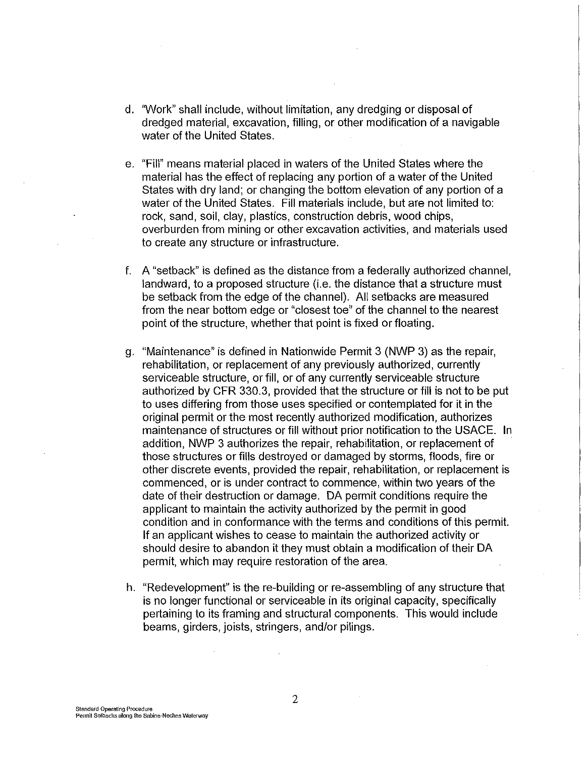- d. "Work" shall include, without limitation, any dredging or disposal of dredged material, excavation, filling, or other modification of a navigable water of the United States.
- e. "Fill" means material placed in waters of the United States where the material has the effect of replacing any portion of a water of the United States with dry land; or changing the bottom elevation of any portion of a water of the United States. Fill materials include, but are not limited to: rock, sand, soil, clay, plastics, construction debris, wood chips, overburden from mining or other excavation activities, and materials used to create any structure or infrastructure.
- f. A "setback" is defined as the distance from a federally authorized channel, landward, to a proposed structure (i.e. the distance that a structure must be setback from the edge of the channel). All setbacks are measured from the near bottom edge or "closest toe" of the channel to the nearest point of the structure, whether that point is fixed or floating.
- g. "Maintenance" is defined in Nationwide Permit 3 (NWP 3) as the repair, rehabilitation, or replacement of any previously authorized, currently serviceable structure, or fill, or of any currently serviceable structure authorized by CFR 330.3, provided that the structure or fill is not to be put to uses differing from those uses specified or contemplated for it in the original permit or the most recently authorized modification, authorizes maintenance of structures or fill without prior notification to the USAGE. In addition, NWP 3 authorizes the repair, rehabilitation, or replacement of those structures or fills destroyed or damaged by storms, floods, fire or other discrete events, provided the repair, rehabilitation, or replacement is commenced, or is under contract to commence, within two years of the date of their destruction or damage. DA permit conditions require the applicant to maintain the activity authorized by the permit in good condition and in conformance with the terms and conditions of this permit. If an applicant wishes to cease to maintain the authorized activity or should desire to abandon it they must obtain a modification of their DA permit, which may require restoration of the area.
- h. "Redevelopment" is the re-building or re-assembling of any structure that is no longer functional or serviceable in its original capacity, specifically pertaining to its framing and structural components. This would include beams, girders, joists, stringers, and/or pilings.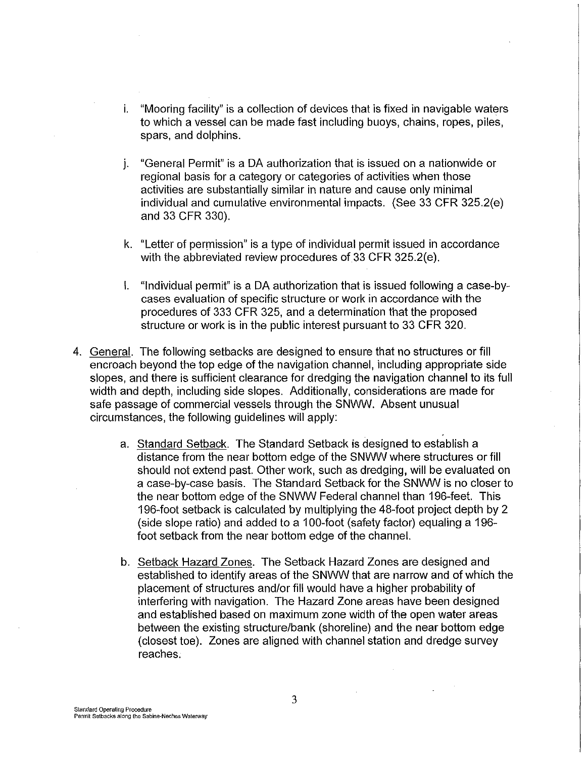- i. "Mooring facility" is a collection of devices that is fixed in navigable waters to which a vessel can be made fast including buoys, chains, ropes, piles, spars, and dolphins.
- j. "General Permit" is a DA authorization that is issued on a nationwide or regional basis for a category or categories of activities when those activities are substantially similar in nature and cause only minimal individual and cumulative environmental impacts. (See 33 CFR 325.2(e) and 33 CFR 330).
- k. "Letter of permission" is a type of individual permit issued in accordance with the abbreviated review procedures of 33 CFR 325.2(e).
- I. "Individual permit" is a DA authorization that is issued following a case-bycases evaluation of specific structure or work in accordance with the procedures of 333 CFR 325, and a determination that the proposed structure or work is in the public interest pursuant to 33 CFR 320.
- 4. General. The following setbacks are designed to ensure that no structures or fill encroach beyond the top edge of the navigation channel, including appropriate side slopes, and there is sufficient clearance for dredging the navigation channel to its full width and depth, including side slopes. Additionally, considerations are made for safe passage of commercial vessels through the SNWW. Absent unusual circumstances, the following guidelines will apply:
	- a. Standard Setback. The Standard Setback is designed to establish a distance from the near bottom edge of the SNWW where structures or fill should not extend past. Other work, such as dredging, will be evaluated on a case-by-case basis. The Standard Setback for the SNWW is no closer to the near bottom edge of the SNWW Federal channel than 196-feet. This 196-foot setback is calculated by multiplying the 48-foot project depth by 2 (side slope ratio) and added to a 100-foot (safety factor) equaling a 196 foot setback from the near bottom edge of the channel.
	- b. Setback Hazard Zones. The Setback Hazard Zones are designed and established to identify areas of the SNWW that are narrow and of which the placement of structures and/or fill would have a higher probability of interfering with navigation. The Hazard Zone areas have been designed and established based on maximum zone width of the open water areas between the existing structure/bank (shoreline) and the near bottom edge (closest toe). Zones are aligned with channel station and dredge survey reaches.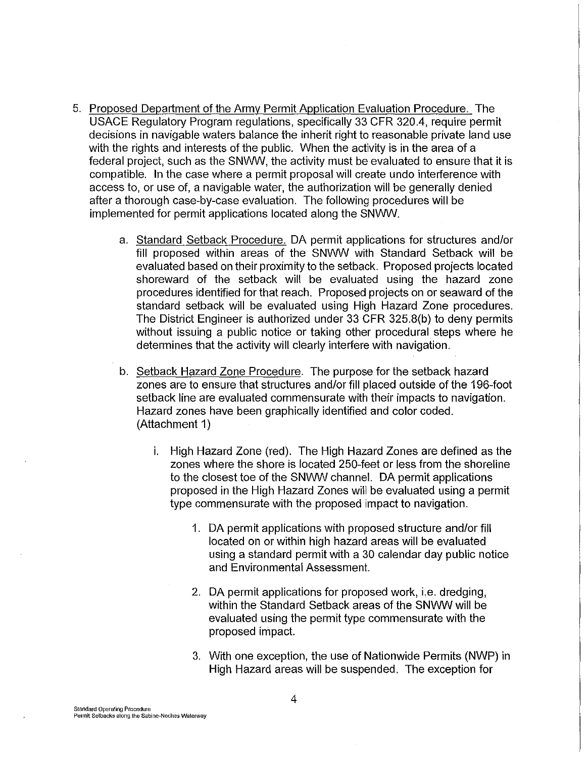- 5. Proposed Department of the Army Permit Application Evaluation Procedure. The USAGE Regulatory Program regulations, specifically 33 CFR 320.4, require permit decisions in navigable waters balance the inherit right to reasonable private land use with the rights and interests of the public. When the activity is in the area of a federal project, such as the SNWW, the activity must be evaluated to ensure that it is compatible. In the case where a permit proposal will create undo interference with access to, or use of, a navigable water, the authorization will be generally denied after a thorough case-by-case evaluation. The following procedures will be implemented for permit applications located along the SNWW.
	- a. Standard Setback Procedure. DA permit applications for structures and/or fill proposed within areas of the SNWW with Standard Setback will be evaluated based on their proximity to the setback. Proposed projects located shoreward of the setback will be evaluated using the hazard zone procedures identified for that reach. Proposed projects on or seaward of the standard setback will be evaluated using High Hazard Zone procedures. The District Engineer is authorized under 33 CFR 325.S(b) to deny permits without issuing a public notice or taking other procedural steps where he determines that the activity will clearly interfere with navigation.
	- b. Setback Hazard Zone Procedure. The purpose for the setback hazard zones are to ensure that structures and/or fill placed outside of the 196-foot setback line are evaluated commensurate with their impacts to navigation. Hazard zones have been graphically identified and color coded. (Attachment 1)
		- i. High Hazard Zone (red). The High Hazard Zones are defined as the zones where the shore is located 250-feet or less from the shoreline to the closest toe of the SNWW channel. DA permit applications proposed in the High Hazard Zones will be evaluated using a permit type commensurate with the proposed impact to navigation.
			- 1. DA permit applications with proposed structure and/or fill located on or within high hazard areas will be evaluated using a standard permit with a 30 calendar day public notice and Environmental Assessment.
			- 2. DA permit applications for proposed work, i.e. dredging, within the Standard Setback areas of the SNWW will be evaluated using the permit type commensurate with the proposed impact.
			- 3. With one exception, the use of Nationwide Permits (NWP) in High Hazard areas will be suspended. The exception for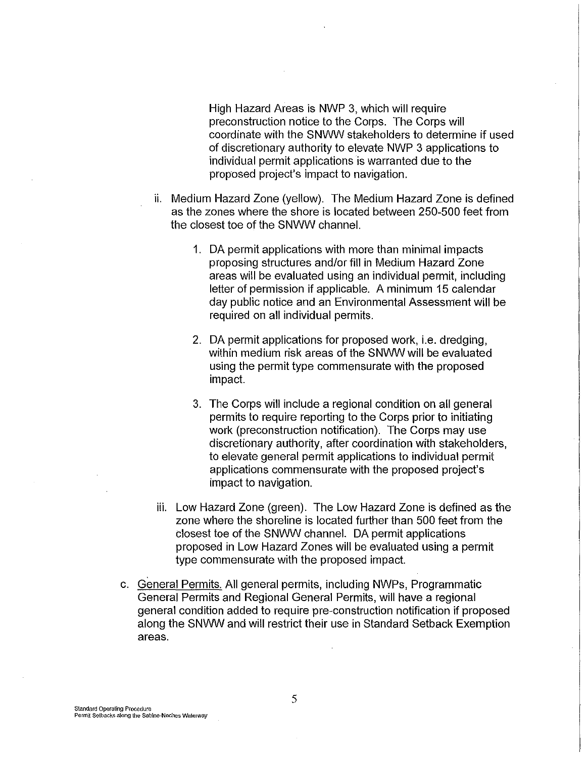High Hazard Areas is NWP 3, which will require preconstruction notice to the Corps. The Corps will coordinate with the SNWW stakeholders to determine if used of discretionary authority to elevate NWP 3 applications to individual permit applications is warranted due to the proposed project's impact to navigation.

- ii. Medium Hazard Zone (yellow). The Medium Hazard Zone is defined as the zones where the shore is located between 250-500 feet from the closest toe of the SNWW channel.
	- 1. DA permit applications with more than minimal impacts proposing structures and/or fill in Medium Hazard Zone areas will be evaluated using an individual permit, including letter of permission if applicable. A minimum 15 calendar day public notice and an Environmental Assessment will be required on all individual permits.
	- 2. DA permit applications for proposed work, i.e. dredging, within medium risk areas of the SNWW will be evaluated using the permit type commensurate with the proposed impact.
	- 3. The Corps will include a regional condition on all general permits to require reporting to the Corps prior to initiating work (preconstruction notification). The Corps may use discretionary authority, after coordination with stakeholders, to elevate general permit applications to individual permit applications commensurate with the proposed project's impact to navigation.
- iii. Low Hazard Zone (green). The Low Hazard Zone is defined as the zone where the shoreline is located further than 500 feet from the closest toe of the SNWW channel. DA permit applications proposed in Low Hazard Zones will be evaluated using a permit type commensurate with the proposed impact.
- c. General Permits. All general permits, including NWPs, Programmatic General Permits and Regional General Permits, will have a regional general condition added to require pre-construction notification if proposed along the SNWW and will restrict their use in Standard Setback Exemption areas.